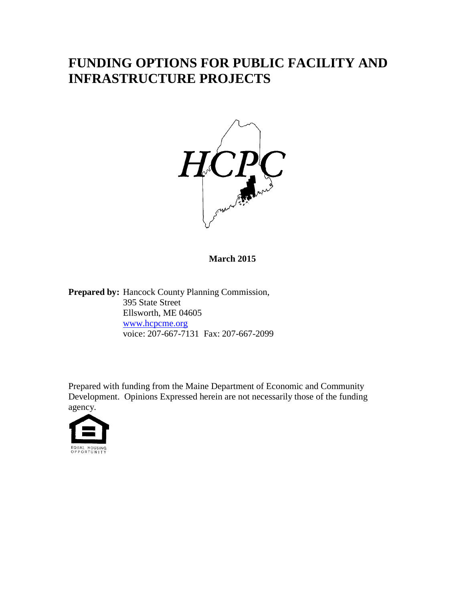# **FUNDING OPTIONS FOR PUBLIC FACILITY AND INFRASTRUCTURE PROJECTS**



#### **March 2015**

**Prepared by: Hancock County Planning Commission,** 395 State Street Ellsworth, ME 04605 [www.hcpcme.org](http://www.hcpcme.org/) voice: 207-667-7131 Fax: 207-667-2099

Prepared with funding from the Maine Department of Economic and Community Development. Opinions Expressed herein are not necessarily those of the funding agency.

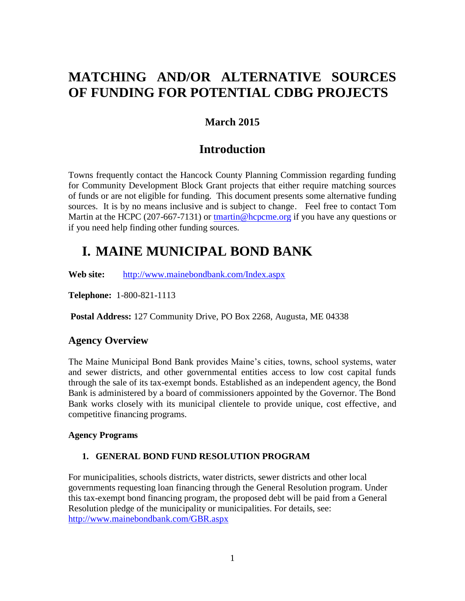## **MATCHING AND/OR ALTERNATIVE SOURCES OF FUNDING FOR POTENTIAL CDBG PROJECTS**

### **March 2015**

### **Introduction**

Towns frequently contact the Hancock County Planning Commission regarding funding for Community Development Block Grant projects that either require matching sources of funds or are not eligible for funding. This document presents some alternative funding sources. It is by no means inclusive and is subject to change. Feel free to contact Tom Martin at the HCPC (207-667-7131) or [tmartin@hcpcme.org](mailto:tmartin@hcpcme.org) if you have any questions or if you need help finding other funding sources.

# **I. MAINE MUNICIPAL BOND BANK**

**Web site:** <http://www.mainebondbank.com/Index.aspx>

**Telephone:** 1-800-821-1113

**Postal Address:** 127 Community Drive, PO Box 2268, Augusta, ME 04338

#### **Agency Overview**

The Maine Municipal Bond Bank provides Maine's cities, towns, school systems, water and sewer districts, and other governmental entities access to low cost capital funds through the sale of its tax-exempt bonds. Established as an independent agency, the Bond Bank is administered by a board of commissioners appointed by the Governor. The Bond Bank works closely with its municipal clientele to provide unique, cost effective, and competitive financing programs.

#### **Agency Programs**

#### **1. GENERAL BOND FUND RESOLUTION PROGRAM**

For municipalities, schools districts, water districts, sewer districts and other local governments requesting loan financing through the General Resolution program. Under this tax-exempt bond financing program, the proposed debt will be paid from a General Resolution pledge of the municipality or municipalities. For details, see: <http://www.mainebondbank.com/GBR.aspx>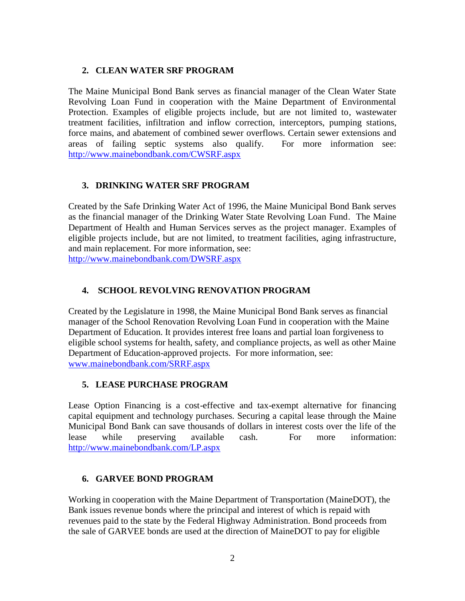#### **2. CLEAN WATER SRF PROGRAM**

The Maine Municipal Bond Bank serves as financial manager of the Clean Water State Revolving Loan Fund in cooperation with the Maine Department of Environmental Protection. Examples of eligible projects include, but are not limited to, wastewater treatment facilities, infiltration and inflow correction, interceptors, pumping stations, force mains, and abatement of combined sewer overflows. Certain sewer extensions and areas of failing septic systems also qualify. For more information see: <http://www.mainebondbank.com/CWSRF.aspx>

#### **3. DRINKING WATER SRF PROGRAM**

Created by the Safe Drinking Water Act of 1996, the Maine Municipal Bond Bank serves as the financial manager of the Drinking Water State Revolving Loan Fund. The Maine Department of Health and Human Services serves as the project manager. Examples of eligible projects include, but are not limited, to treatment facilities, aging infrastructure, and main replacement. For more information, see: <http://www.mainebondbank.com/DWSRF.aspx>

#### **4. SCHOOL REVOLVING RENOVATION PROGRAM**

Created by the Legislature in 1998, the Maine Municipal Bond Bank serves as financial manager of the School Renovation Revolving Loan Fund in cooperation with the Maine Department of Education. It provides interest free loans and partial loan forgiveness to eligible school systems for health, safety, and compliance projects, as well as other Maine Department of Education-approved projects. For more information, see: [www.mainebondbank.com/SRRF.aspx](http://www.mainebondbank.com/SRRF.aspx)

#### **5. LEASE PURCHASE PROGRAM**

Lease Option Financing is a cost-effective and tax-exempt alternative for financing capital equipment and technology purchases. Securing a capital lease through the Maine Municipal Bond Bank can save thousands of dollars in interest costs over the life of the lease while preserving available cash. For more information: <http://www.mainebondbank.com/LP.aspx>

#### **6. GARVEE BOND PROGRAM**

Working in cooperation with the Maine Department of Transportation (MaineDOT), the Bank issues revenue bonds where the principal and interest of which is repaid with revenues paid to the state by the Federal Highway Administration. Bond proceeds from the sale of GARVEE bonds are used at the direction of MaineDOT to pay for eligible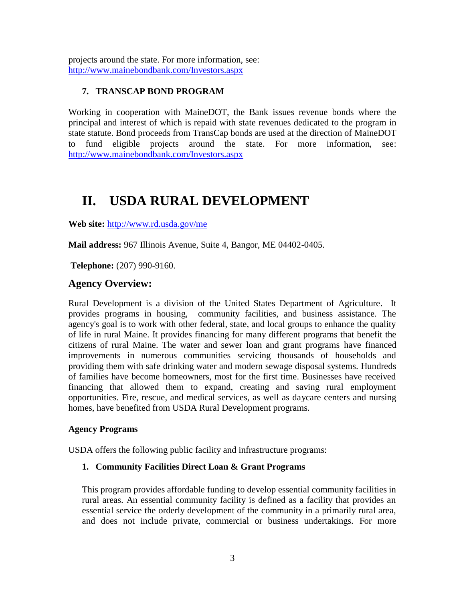projects around the state. For more information, see: <http://www.mainebondbank.com/Investors.aspx>

#### **7. TRANSCAP BOND PROGRAM**

Working in cooperation with MaineDOT, the Bank issues revenue bonds where the principal and interest of which is repaid with state revenues dedicated to the program in state statute. Bond proceeds from TransCap bonds are used at the direction of MaineDOT to fund eligible projects around the state. For more information, see: <http://www.mainebondbank.com/Investors.aspx>

## **II. USDA RURAL DEVELOPMENT**

**Web site:** <http://www.rd.usda.gov/me>

**Mail address:** 967 Illinois Avenue, Suite 4, Bangor, ME 04402-0405.

**Telephone:** (207) 990-9160.

#### **Agency Overview:**

Rural Development is a division of the United States Department of Agriculture. It provides programs in housing, community facilities, and business assistance. The agency's goal is to work with other federal, state, and local groups to enhance the quality of life in rural Maine. It provides financing for many different programs that benefit the citizens of rural Maine. The water and sewer loan and grant programs have financed improvements in numerous communities servicing thousands of households and providing them with safe drinking water and modern sewage disposal systems. Hundreds of families have become homeowners, most for the first time. Businesses have received financing that allowed them to expand, creating and saving rural employment opportunities. Fire, rescue, and medical services, as well as daycare centers and nursing homes, have benefited from USDA Rural Development programs.

#### **Agency Programs**

USDA offers the following public facility and infrastructure programs:

#### **1. Community Facilities Direct Loan & Grant Programs**

This program provides affordable funding to develop essential community facilities in rural areas. An essential community facility is defined as a facility that provides an essential service the orderly development of the community in a primarily rural area, and does not include private, commercial or business undertakings. For more